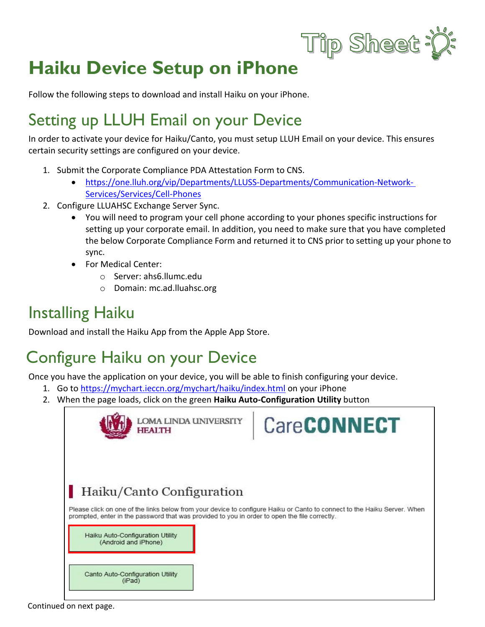

# **Haiku Device Setup on iPhone**

Follow the following steps to download and install Haiku on your iPhone.

# Setting up LLUH Email on your Device

In order to activate your device for Haiku/Canto, you must setup LLUH Email on your device. This ensures certain security settings are configured on your device.

- 1. Submit the Corporate Compliance PDA Attestation Form to CNS.
	- [https://one.lluh.org/vip/Departments/LLUSS-Departments/Communication-Network-](https://one.lluh.org/vip/Departments/LLUSS-Departments/Communication-Network-Services/Services/Cell-Phones)[Services/Services/Cell-Phones](https://one.lluh.org/vip/Departments/LLUSS-Departments/Communication-Network-Services/Services/Cell-Phones)
- 2. Configure LLUAHSC Exchange Server Sync.
	- You will need to program your cell phone according to your phones specific instructions for setting up your corporate email. In addition, you need to make sure that you have completed the below Corporate Compliance Form and returned it to CNS prior to setting up your phone to sync.
	- For Medical Center:
		- o Server: ahs6.llumc.edu
		- o Domain: mc.ad.lluahsc.org

### Installing Haiku

Download and install the Haiku App from the Apple App Store.

## Configure Haiku on your Device

Once you have the application on your device, you will be able to finish configuring your device.

- 1. Go to <https://mychart.ieccn.org/mychart/haiku/index.html> on your iPhone
- 2. When the page loads, click on the green **Haiku Auto-Configuration Utility** button

| <b>LOMA LINDA UNIVERSITY</b><br><b>HEALTH</b>                                                                                                                                                                                                                                         | <b>CareCONNECT</b> |
|---------------------------------------------------------------------------------------------------------------------------------------------------------------------------------------------------------------------------------------------------------------------------------------|--------------------|
| Haiku/Canto Configuration                                                                                                                                                                                                                                                             |                    |
| Please click on one of the links below from your device to configure Haiku or Canto to connect to the Haiku Server. When<br>prompted, enter in the password that was provided to you in order to open the file correctly.<br>Haiku Auto-Configuration Utility<br>(Android and iPhone) |                    |
| Canto Auto-Configuration Utility<br>(iPad)                                                                                                                                                                                                                                            |                    |

Continued on next page.